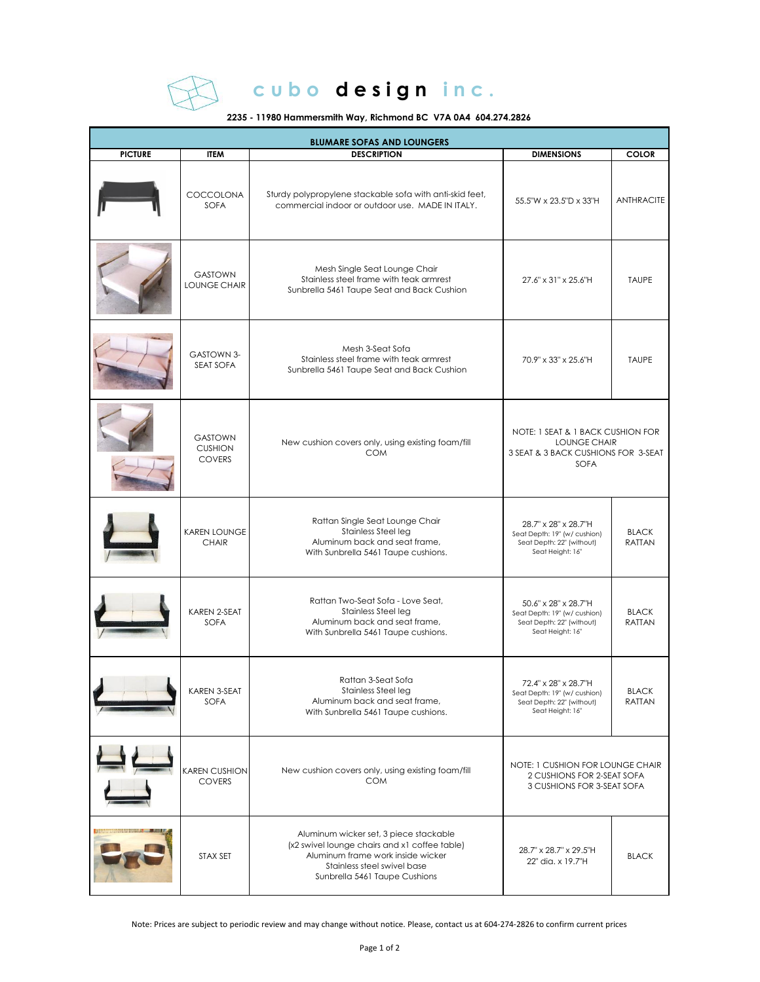

## cubo design inc.

## **2235 - 11980 Hammersmith Way, Richmond BC V7A 0A4 604.274.2826**

| <b>BLUMARE SOFAS AND LOUNGERS</b> |                                                   |                                                                                                                                                                                              |                                                                                                         |                               |  |  |  |
|-----------------------------------|---------------------------------------------------|----------------------------------------------------------------------------------------------------------------------------------------------------------------------------------------------|---------------------------------------------------------------------------------------------------------|-------------------------------|--|--|--|
| <b>PICTURE</b>                    | <b>ITEM</b>                                       | <b>DESCRIPTION</b>                                                                                                                                                                           | <b>DIMENSIONS</b>                                                                                       | <b>COLOR</b>                  |  |  |  |
|                                   | COCCOLONA<br><b>SOFA</b>                          | Sturdy polypropylene stackable sofa with anti-skid feet,<br>commercial indoor or outdoor use. MADE IN ITALY.                                                                                 | 55.5"W x 23.5"D x 33"H                                                                                  | <b>ANTHRACITE</b>             |  |  |  |
|                                   | <b>GASTOWN</b><br>LOUNGE CHAIR                    | Mesh Single Seat Lounge Chair<br>Stainless steel frame with teak armrest<br>Sunbrella 5461 Taupe Seat and Back Cushion                                                                       | 27.6" x 31" x 25.6"H                                                                                    | <b>TAUPE</b>                  |  |  |  |
|                                   | <b>GASTOWN 3-</b><br>SEAT SOFA                    | Mesh 3-Seat Sofa<br>Stainless steel frame with teak armrest<br>Sunbrella 5461 Taupe Seat and Back Cushion                                                                                    | 70.9" x 33" x 25.6"H                                                                                    | <b>TAUPE</b>                  |  |  |  |
|                                   | <b>GASTOWN</b><br><b>CUSHION</b><br><b>COVERS</b> | New cushion covers only, using existing foam/fill<br><b>COM</b>                                                                                                                              | NOTE: 1 SEAT & 1 BACK CUSHION FOR<br>LOUNGE CHAIR<br>3 SEAT & 3 BACK CUSHIONS FOR 3-SEAT<br><b>SOFA</b> |                               |  |  |  |
|                                   | <b>KAREN LOUNGE</b><br><b>CHAIR</b>               | Rattan Single Seat Lounge Chair<br>Stainless Steel leg<br>Aluminum back and seat frame,<br>With Sunbrella 5461 Taupe cushions.                                                               | 28.7" x 28" x 28.7"H<br>Seat Depth: 19" (w/ cushion)<br>Seat Depth: 22" (without)<br>Seat Height: 16"   | <b>BLACK</b><br><b>RATTAN</b> |  |  |  |
|                                   | KAREN 2-SEAT<br><b>SOFA</b>                       | Rattan Two-Seat Sofa - Love Seat,<br>Stainless Steel leg<br>Aluminum back and seat frame,<br>With Sunbrella 5461 Taupe cushions.                                                             | 50.6" x 28" x 28.7"H<br>Seat Depth: 19" (w/ cushion)<br>Seat Depth: 22" (without)<br>Seat Height: 16"   | <b>BLACK</b><br><b>RATTAN</b> |  |  |  |
|                                   | KAREN 3-SEAT<br>SOFA                              | Rattan 3-Seat Sofa<br>Stainless Steel leg<br>Aluminum back and seat frame,<br>With Sunbrella 5461 Taupe cushions.                                                                            | 72.4" x 28" x 28.7"H<br>Seat Depth: 19" (w/ cushion)<br>Seat Depth: 22" (without)<br>Seat Height: 16"   | <b>BLACK</b><br><b>RATTAN</b> |  |  |  |
|                                   | <b>KAREN CUSHION</b><br><b>COVERS</b>             | New cushion covers only, using existing foam/fill<br><b>COM</b>                                                                                                                              | NOTE: 1 CUSHION FOR LOUNGE CHAIR<br>2 CUSHIONS FOR 2-SEAT SOFA<br>3 CUSHIONS FOR 3-SEAT SOFA            |                               |  |  |  |
|                                   | STAX SET                                          | Aluminum wicker set, 3 piece stackable<br>(x2 swivel lounge chairs and x1 coffee table)<br>Aluminum frame work inside wicker<br>Stainless steel swivel base<br>Sunbrella 5461 Taupe Cushions | 28.7" x 28.7" x 29.5"H<br>22" dia. x 19.7"H                                                             | <b>BLACK</b>                  |  |  |  |

Note: Prices are subject to periodic review and may change without notice. Please, contact us at 604-274-2826 to confirm current prices